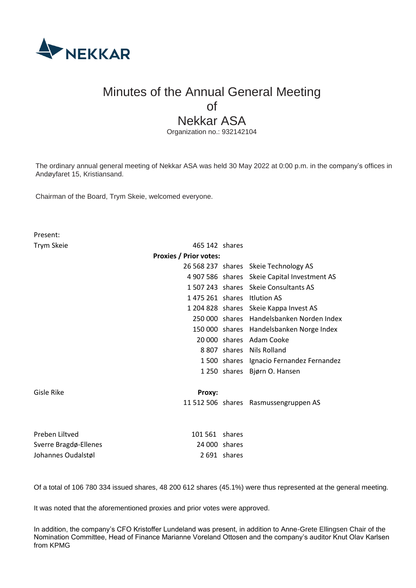

# Minutes of the Annual General Meeting of Nekkar ASA

Organization no.: 932142104

The ordinary annual general meeting of Nekkar ASA was held 30 May 2022 at 0:00 p.m. in the company's offices in Andøyfaret 15, Kristiansand.

Chairman of the Board, Trym Skeie, welcomed everyone.

Present: Trym Skeie 465 142 shares **Proxies / Prior votes:**  26 568 237 shares Skeie Technology AS 4 907 586 shares Skeie Capital Investment AS 1 507 243 shares Skeie Consultants AS 1 475 261 shares Itlution AS 1 204 828 shares Skeie Kappa Invest AS 250 000 shares Handelsbanken Norden Index 150 000 shares Handelsbanken Norge Index 20 000 shares Adam Cooke 8 807 shares Nils Rolland 1 500 shares Ignacio Fernandez Fernandez 1 250 shares Bjørn O. Hansen Gisle Rike **Proxy:** 11 512 506 shares Rasmussengruppen AS Preben Liltved 101 561 shares Sverre Bragdø-Ellenes 24 000 shares Johannes Oudalstøl 2 691 shares

Of a total of 106 780 334 issued shares, 48 200 612 shares (45.1%) were thus represented at the general meeting.

It was noted that the aforementioned proxies and prior votes were approved.

In addition, the company's CFO Kristoffer Lundeland was present, in addition to Anne-Grete Ellingsen Chair of the Nomination Committee, Head of Finance Marianne Voreland Ottosen and the company's auditor Knut Olav Karlsen from KPMG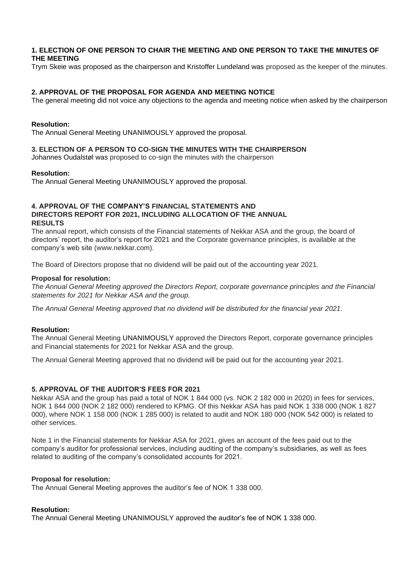# **1. ELECTION OF ONE PERSON TO CHAIR THE MEETING AND ONE PERSON TO TAKE THE MINUTES OF THE MEETING**

Trym Skeie was proposed as the chairperson and Kristoffer Lundeland was proposed as the keeper of the minutes.

# **2. APPROVAL OF THE PROPOSAL FOR AGENDA AND MEETING NOTICE**

The general meeting did not voice any objections to the agenda and meeting notice when asked by the chairperson

#### **Resolution:**

The Annual General Meeting UNANIMOUSLY approved the proposal.

#### **3. ELECTION OF A PERSON TO CO-SIGN THE MINUTES WITH THE CHAIRPERSON**

Johannes Oudalstøl was proposed to co-sign the minutes with the chairperson

#### **Resolution:**

The Annual General Meeting UNANIMOUSLY approved the proposal.

#### **4. APPROVAL OF THE COMPANY'S FINANCIAL STATEMENTS AND DIRECTORS REPORT FOR 2021, INCLUDING ALLOCATION OF THE ANNUAL RESULTS**

The annual report, which consists of the Financial statements of Nekkar ASA and the group, the board of directors' report, the auditor's report for 2021 and the Corporate governance principles, is available at the company's web site (www.nekkar.com).

The Board of Directors propose that no dividend will be paid out of the accounting year 2021.

#### **Proposal for resolution:**

*The Annual General Meeting approved the Directors Report, corporate governance principles and the Financial statements for 2021 for Nekkar ASA and the group.*

*The Annual General Meeting approved that no dividend will be distributed for the financial year 2021.*

#### **Resolution:**

The Annual General Meeting UNANIMOUSLY approved the Directors Report, corporate governance principles and Financial statements for 2021 for Nekkar ASA and the group.

The Annual General Meeting approved that no dividend will be paid out for the accounting year 2021.

#### **5. APPROVAL OF THE AUDITOR'S FEES FOR 2021**

Nekkar ASA and the group has paid a total of NOK 1 844 000 (vs. NOK 2 182 000 in 2020) in fees for services, NOK 1 844 000 (NOK 2 182 000) rendered to KPMG. Of this Nekkar ASA has paid NOK 1 338 000 (NOK 1 827 000), where NOK 1 158 000 (NOK 1 285 000) is related to audit and NOK 180 000 (NOK 542 000) is related to other services.

Note 1 in the Financial statements for Nekkar ASA for 2021, gives an account of the fees paid out to the company's auditor for professional services, including auditing of the company's subsidiaries, as well as fees related to auditing of the company's consolidated accounts for 2021.

#### **Proposal for resolution:**

The Annual General Meeting approves the auditor's fee of NOK 1 338 000.

#### **Resolution:**

The Annual General Meeting UNANIMOUSLY approved the auditor's fee of NOK 1 338 000.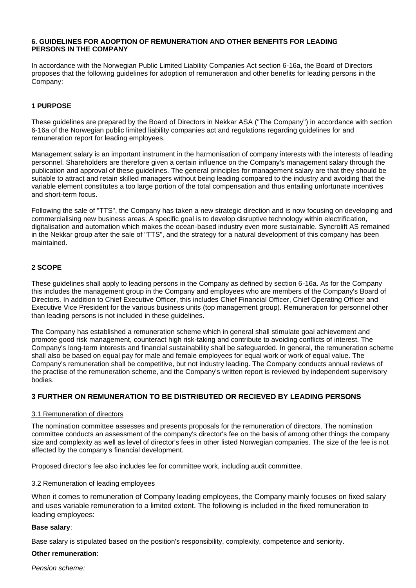#### **6. GUIDELINES FOR ADOPTION OF REMUNERATION AND OTHER BENEFITS FOR LEADING PERSONS IN THE COMPANY**

In accordance with the Norwegian Public Limited Liability Companies Act section 6-16a, the Board of Directors proposes that the following guidelines for adoption of remuneration and other benefits for leading persons in the Company:

# **1 PURPOSE**

These guidelines are prepared by the Board of Directors in Nekkar ASA ("The Company") in accordance with section 6-16a of the Norwegian public limited liability companies act and regulations regarding guidelines for and remuneration report for leading employees.

Management salary is an important instrument in the harmonisation of company interests with the interests of leading personnel. Shareholders are therefore given a certain influence on the Company's management salary through the publication and approval of these guidelines. The general principles for management salary are that they should be suitable to attract and retain skilled managers without being leading compared to the industry and avoiding that the variable element constitutes a too large portion of the total compensation and thus entailing unfortunate incentives and short-term focus.

Following the sale of "TTS", the Company has taken a new strategic direction and is now focusing on developing and commercialising new business areas. A specific goal is to develop disruptive technology within electrification, digitalisation and automation which makes the ocean-based industry even more sustainable. Syncrolift AS remained in the Nekkar group after the sale of "TTS", and the strategy for a natural development of this company has been maintained.

# **2 SCOPE**

These guidelines shall apply to leading persons in the Company as defined by section 6-16a. As for the Company this includes the management group in the Company and employees who are members of the Company's Board of Directors. In addition to Chief Executive Officer, this includes Chief Financial Officer, Chief Operating Officer and Executive Vice President for the various business units (top management group). Remuneration for personnel other than leading persons is not included in these guidelines.

The Company has established a remuneration scheme which in general shall stimulate goal achievement and promote good risk management, counteract high risk-taking and contribute to avoiding conflicts of interest. The Company's long-term interests and financial sustainability shall be safeguarded. In general, the remuneration scheme shall also be based on equal pay for male and female employees for equal work or work of equal value. The Company's remuneration shall be competitive, but not industry leading. The Company conducts annual reviews of the practise of the remuneration scheme, and the Company's written report is reviewed by independent supervisory bodies.

# **3 FURTHER ON REMUNERATION TO BE DISTRIBUTED OR RECIEVED BY LEADING PERSONS**

# 3.1 Remuneration of directors

The nomination committee assesses and presents proposals for the remuneration of directors. The nomination committee conducts an assessment of the company's director's fee on the basis of among other things the company size and complexity as well as level of director's fees in other listed Norwegian companies. The size of the fee is not affected by the company's financial development.

Proposed director's fee also includes fee for committee work, including audit committee.

# 3.2 Remuneration of leading employees

When it comes to remuneration of Company leading employees, the Company mainly focuses on fixed salary and uses variable remuneration to a limited extent. The following is included in the fixed remuneration to leading employees:

#### **Base salary**:

Base salary is stipulated based on the position's responsibility, complexity, competence and seniority.

# **Other remuneration**:

*Pension scheme:*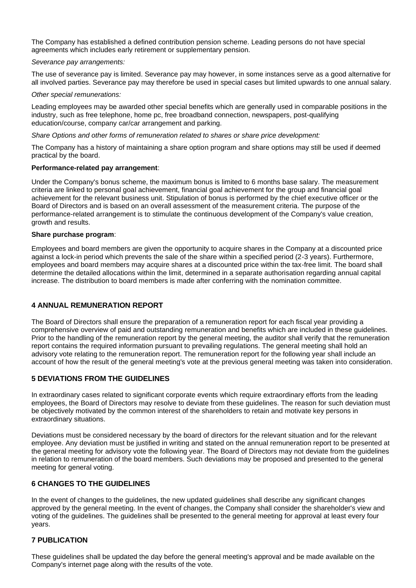The Company has established a defined contribution pension scheme. Leading persons do not have special agreements which includes early retirement or supplementary pension.

#### *Severance pay arrangements:*

The use of severance pay is limited. Severance pay may however, in some instances serve as a good alternative for all involved parties. Severance pay may therefore be used in special cases but limited upwards to one annual salary.

#### *Other special remunerations:*

Leading employees may be awarded other special benefits which are generally used in comparable positions in the industry, such as free telephone, home pc, free broadband connection, newspapers, post-qualifying education/course, company car/car arrangement and parking.

#### *Share Options and other forms of remuneration related to shares or share price development:*

The Company has a history of maintaining a share option program and share options may still be used if deemed practical by the board.

#### **Performance-related pay arrangement**:

Under the Company's bonus scheme, the maximum bonus is limited to 6 months base salary. The measurement criteria are linked to personal goal achievement, financial goal achievement for the group and financial goal achievement for the relevant business unit. Stipulation of bonus is performed by the chief executive officer or the Board of Directors and is based on an overall assessment of the measurement criteria. The purpose of the performance-related arrangement is to stimulate the continuous development of the Company's value creation, growth and results.

#### **Share purchase program**:

Employees and board members are given the opportunity to acquire shares in the Company at a discounted price against a lock-in period which prevents the sale of the share within a specified period (2-3 years). Furthermore, employees and board members may acquire shares at a discounted price within the tax-free limit. The board shall determine the detailed allocations within the limit, determined in a separate authorisation regarding annual capital increase. The distribution to board members is made after conferring with the nomination committee.

# **4 ANNUAL REMUNERATION REPORT**

The Board of Directors shall ensure the preparation of a remuneration report for each fiscal year providing a comprehensive overview of paid and outstanding remuneration and benefits which are included in these guidelines. Prior to the handling of the remuneration report by the general meeting, the auditor shall verify that the remuneration report contains the required information pursuant to prevailing regulations. The general meeting shall hold an advisory vote relating to the remuneration report. The remuneration report for the following year shall include an account of how the result of the general meeting's vote at the previous general meeting was taken into consideration.

# **5 DEVIATIONS FROM THE GUIDELINES**

In extraordinary cases related to significant corporate events which require extraordinary efforts from the leading employees, the Board of Directors may resolve to deviate from these guidelines. The reason for such deviation must be objectively motivated by the common interest of the shareholders to retain and motivate key persons in extraordinary situations.

Deviations must be considered necessary by the board of directors for the relevant situation and for the relevant employee. Any deviation must be justified in writing and stated on the annual remuneration report to be presented at the general meeting for advisory vote the following year. The Board of Directors may not deviate from the guidelines in relation to remuneration of the board members. Such deviations may be proposed and presented to the general meeting for general voting.

# **6 CHANGES TO THE GUIDELINES**

In the event of changes to the guidelines, the new updated guidelines shall describe any significant changes approved by the general meeting. In the event of changes, the Company shall consider the shareholder's view and voting of the guidelines. The guidelines shall be presented to the general meeting for approval at least every four years.

# **7 PUBLICATION**

These guidelines shall be updated the day before the general meeting's approval and be made available on the Company's internet page along with the results of the vote.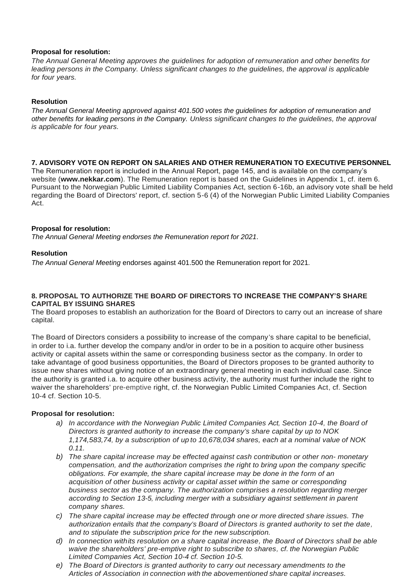#### **Proposal for resolution:**

*The Annual General Meeting approves the guidelines for adoption of remuneration and other benefits for*  leading persons in the Company. Unless significant changes to the guidelines, the approval is applicable *for four years.*

#### **Resolution**

*The Annual General Meeting approved against 401.500 votes the guidelines for adoption of remuneration and other benefits for leading persons in the Company. Unless significant changes to the guidelines, the approval is applicable for four years.*

#### **7. ADVISORY VOTE ON REPORT ON SALARIES AND OTHER REMUNERATION TO EXECUTIVE PERSONNEL**

The Remuneration report is included in the Annual Report, page 145, and is available on the company's website (**[www.nekkar.com](http://www.nekkar.com/)**). The Remuneration report is based on the Guidelines in Appendix 1, cf. item 6. Pursuant to the Norwegian Public Limited Liability Companies Act, section 6-16b, an advisory vote shall be held regarding the Board of Directors' report, cf. section 5-6 (4) of the Norwegian Public Limited Liability Companies Act.

#### **Proposal for resolution:**

*The Annual General Meeting endorses the Remuneration report for 2021.*

#### **Resolution**

*The Annual General Meeting* endorses against 401.500 the Remuneration report for 2021*.*

#### **8. PROPOSAL TO AUTHORIZE THE BOARD OF DIRECTORS TO INCREASE THE COMPANY'S SHARE CAPITAL BY ISSUING SHARES**

The Board proposes to establish an authorization for the Board of Directors to carry out an increase of share capital.

The Board of Directors considers a possibility to increase of the company's share capital to be beneficial, in order to i.a. further develop the company and/or in order to be in a position to acquire other business activity or capital assets within the same or corresponding business sector as the company. In order to take advantage of good business opportunities, the Board of Directors proposes to be granted authority to issue new shares without giving notice of an extraordinary general meeting in each individual case. Since the authority is granted i.a. to acquire other business activity, the authority must further include the right to waiver the shareholders' pre-emptive right, cf. the Norwegian Public Limited Companies Act, cf. Section 10-4 cf. Section 10-5.

#### **Proposal for resolution:**

- *a) In accordance with the Norwegian Public Limited Companies Act, Section 10-4, the Board of Directors is granted authority to increase the company's share capital by up to NOK 1,174,583,74, by a subscription of up to 10,678,034 shares, each at a nominal value of NOK 0.11.*
- *b) The share capital increase may be effected against cash contribution or other non- monetary compensation, and the authorization comprises the right to bring upon the company specific obligations. For example, the share capital increase may be done in the form of an acquisition of other business activity or capital asset within the same or corresponding business sector as the company. The authorization comprises a resolution regarding merger according to Section 13-5, including merger with a subsidiary against settlement in parent company shares.*
- *c) The share capital increase may be effected through one or more directed share issues. The authorization entails that the company's Board of Directors is granted authority to set the date, and to stipulate the subscription price for the new subscription.*
- *d) In connection withits resolution on a share capital increase, the Board of Directors shall be able waive the shareholders' pre-emptive right to subscribe to shares, cf. the Norwegian Public Limited Companies Act, Section 10-4 cf. Section 10-5.*
- *e) The Board of Directors is granted authority to carry out necessary amendments to the Articles of Association in connection with the abovementioned share capital increases.*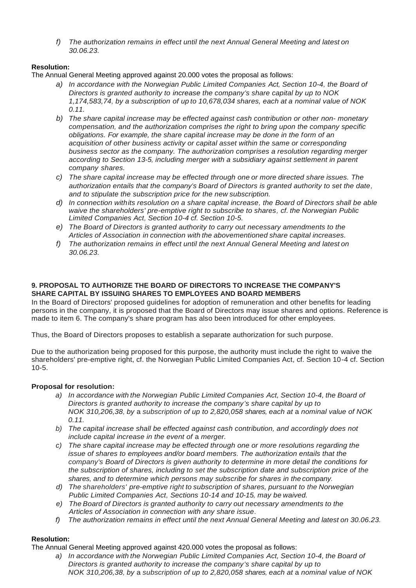*f) The authorization remains in effect until the next Annual General Meeting and latest on 30.06.23.*

# **Resolution:**

The Annual General Meeting approved against 20.000 votes the proposal as follows:

- *a) In accordance with the Norwegian Public Limited Companies Act, Section 10-4, the Board of Directors is granted authority to increase the company's share capital by up to NOK 1,174,583,74, by a subscription of up to 10,678,034 shares, each at a nominal value of NOK 0.11.*
- *b) The share capital increase may be effected against cash contribution or other non- monetary compensation, and the authorization comprises the right to bring upon the company specific obligations. For example, the share capital increase may be done in the form of an acquisition of other business activity or capital asset within the same or corresponding business sector as the company. The authorization comprises a resolution regarding merger according to Section 13-5, including merger with a subsidiary against settlement in parent company shares.*
- *c) The share capital increase may be effected through one or more directed share issues. The authorization entails that the company's Board of Directors is granted authority to set the date, and to stipulate the subscription price for the new subscription.*
- *d) In connection withits resolution on a share capital increase, the Board of Directors shall be able waive the shareholders' pre-emptive right to subscribe to shares, cf. the Norwegian Public Limited Companies Act, Section 10-4 cf. Section 10-5.*
- *e) The Board of Directors is granted authority to carry out necessary amendments to the Articles of Association in connection with the abovementioned share capital increases.*
- *f) The authorization remains in effect until the next Annual General Meeting and latest on 30.06.23.*

#### **9. PROPOSAL TO AUTHORIZE THE BOARD OF DIRECTORS TO INCREASE THE COMPANY'S SHARE CAPITAL BY ISSUING SHARES TO EMPLOYEES AND BOARD MEMBERS**

In the Board of Directors' proposed guidelines for adoption of remuneration and other benefits for leading persons in the company, it is proposed that the Board of Directors may issue shares and options. Reference is made to item 6. The company's share program has also been introduced for other employees.

Thus, the Board of Directors proposes to establish a separate authorization for such purpose.

Due to the authorization being proposed for this purpose, the authority must include the right to waive the shareholders' pre-emptive right, cf. the Norwegian Public Limited Companies Act, cf. Section 10-4 cf. Section 10-5.

# **Proposal for resolution:**

- *a) In accordance with the Norwegian Public Limited Companies Act, Section 10-4, the Board of Directors is granted authority to increase the company's share capital by up to NOK 310,206,38, by* a *subscription of up to 2,820,058 shares, each at* a *nominal value of NOK 0.11.*
- *b) The capital increase shall be effected against cash contribution, and accordingly does not include capital increase in the event of* a *merger.*
- *c) The share capital increase may be effected through one or more resolutions regarding the issue of shares to employees and/or board members. The authorization entails that the company's Board of Directors is given authority to determine in more detail the conditions for the subscription of shares, including to set the subscription date and subscription price of the shares, and to determine which persons may subscribe for shares in the company.*
- *d) The shareholders' pre-emptive right to subscription of shares, pursuant to the Norwegian Public Limited Companies Act, Sections 10-14 and 10-15, may be waived.*
- *e) The Board of Directors is granted authority to carry out necessary amendments to the Articles of Association in connection with any share issue.*
- *f) The authorization remains in effect until the next Annual General Meeting and latest on 30.06.23.*

# **Resolution:**

The Annual General Meeting approved against 420.000 votes the proposal as follows:

*a) In accordance with the Norwegian Public Limited Companies Act, Section 10-4, the Board of Directors is granted authority to increase the company's share capital by up to NOK 310,206,38, by* a *subscription of up to 2,820,058 shares, each at* a *nominal value of NOK*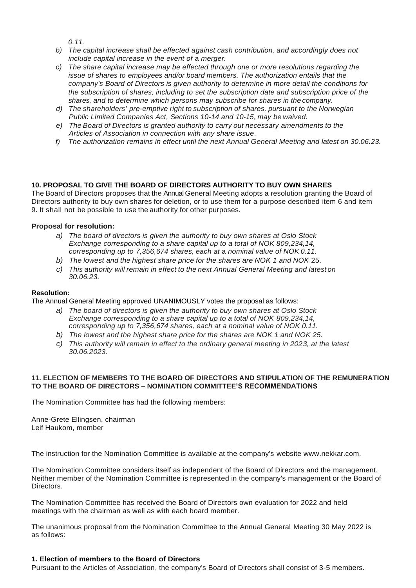*0.11.*

- *b) The capital increase shall be effected against cash contribution, and accordingly does not include capital increase in the event of* a *merger.*
- *c) The share capital increase may be effected through one or more resolutions regarding the issue of shares to employees and/or board members. The authorization entails that the company's Board of Directors is given authority to determine in more detail the conditions for the subscription of shares, including to set the subscription date and subscription price of the shares, and to determine which persons may subscribe for shares in the company.*
- *d) The shareholders' pre-emptive right to subscription of shares, pursuant to the Norwegian Public Limited Companies Act, Sections 10-14 and 10-15, may be waived.*
- *e) The Board of Directors is granted authority to carry out necessary amendments to the Articles of Association in connection with any share issue.*
- *f) The authorization remains in effect until the next Annual General Meeting and latest on 30.06.23.*

# **10. PROPOSAL TO GIVE THE BOARD OF DIRECTORS AUTHORITY TO BUY OWN SHARES**

The Board of Directors proposes that the Annual General Meeting adopts a resolution granting the Board of Directors authority to buy own shares for deletion, or to use them for a purpose described item 6 and item 9. It shall not be possible to use the authority for other purposes.

# **Proposal for resolution:**

- *a) The board of directors is given the authority to buy own shares at Oslo Stock Exchange corresponding to a share capital up to a total of NOK 809,234,14, corresponding up to 7,356,674 shares, each at* a *nominal value of NOK 0.11.*
- *b) The lowest and the highest share price for the shares are NOK 1 and NOK* 25.
- *c) This authority will remain in effect to the next Annual General Meeting and latest on 30.06.23.*

# **Resolution:**

The Annual General Meeting approved UNANIMOUSLY votes the proposal as follows:

- *a) The board of directors is given the authority to buy own shares at Oslo Stock Exchange corresponding to a share capital up to a total of NOK 809,234,14, corresponding up to 7,356,674 shares, each at a nominal value of NOK 0.11.*
- *b) The lowest and the highest share price for the shares are NOK 1 and NOK 25.*
- *c) This authority will remain in effect to the ordinary general meeting in 2023, at the latest 30.06.2023.*

# **11. ELECTION OF MEMBERS TO THE BOARD OF DIRECTORS AND STIPULATION OF THE REMUNERATION TO THE BOARD OF DIRECTORS – NOMINATION COMMITTEE'S RECOMMENDATIONS**

The Nomination Committee has had the following members:

Anne-Grete Ellingsen, chairman Leif Haukom, member

The instruction for the Nomination Committee is available at the company's website www.nekkar.com.

The Nomination Committee considers itself as independent of the Board of Directors and the management. Neither member of the Nomination Committee is represented in the company's management or the Board of Directors.

The Nomination Committee has received the Board of Directors own evaluation for 2022 and held meetings with the chairman as well as with each board member.

The unanimous proposal from the Nomination Committee to the Annual General Meeting 30 May 2022 is as follows:

# **1. Election of members to the Board of Directors**

Pursuant to the Articles of Association, the company's Board of Directors shall consist of 3-5 members.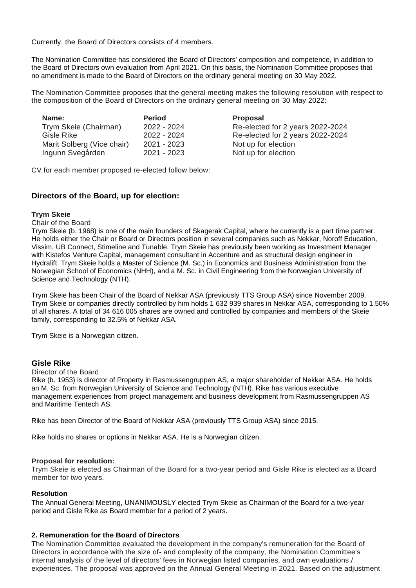Currently, the Board of Directors consists of 4 members.

The Nomination Committee has considered the Board of Directors' composition and competence, in addition to the Board of Directors own evaluation from April 2021. On this basis, the Nomination Committee proposes that no amendment is made to the Board of Directors on the ordinary general meeting on 30 May 2022.

The Nomination Committee proposes that the general meeting makes the following resolution with respect to the composition of the Board of Directors on the ordinary general meeting on 30 May 2022:

| Name:                      | <b>Period</b> | <b>Proposal</b>                  |
|----------------------------|---------------|----------------------------------|
| Trym Skeie (Chairman)      | 2022 - 2024   | Re-elected for 2 years 2022-2024 |
| Gisle Rike                 | 2022 - 2024   | Re-elected for 2 years 2022-2024 |
| Marit Solberg (Vice chair) | 2021 - 2023   | Not up for election              |
| Ingunn Svegården           | $2021 - 2023$ | Not up for election              |

CV for each member proposed re-elected follow below:

# **Directors of the Board, up for election:**

#### **Trym Skeie**

Chair of the Board

Trym Skeie (b. 1968) is one of the main founders of Skagerak Capital, where he currently is a part time partner. He holds either the Chair or Board or Directors position in several companies such as Nekkar, Noroff Education, Vissim, UB Connect, Stimeline and Tunable. Trym Skeie has previously been working as Investment Manager with Kistefos Venture Capital, management consultant in Accenture and as structural design engineer in Hydralift. Trym Skeie holds a Master of Science (M. Sc.) in Economics and Business Administration from the Norwegian School of Economics (NHH), and a M. Sc. in Civil Engineering from the Norwegian University of Science and Technology (NTH).

Trym Skeie has been Chair of the Board of Nekkar ASA (previously TTS Group ASA) since November 2009. Trym Skeie or companies directly controlled by him holds 1 632 939 shares in Nekkar ASA, corresponding to 1.50% of all shares. A total of 34 616 005 shares are owned and controlled by companies and members of the Skeie family, corresponding to 32.5% of Nekkar ASA.

Trym Skeie is a Norwegian citizen.

# **Gisle Rike**

Director of the Board

Rike (b. 1953) is director of Property in Rasmussengruppen AS, a major shareholder of Nekkar ASA. He holds an M. Sc. from Norwegian University of Science and Technology (NTH). Rike has various executive management experiences from project management and business development from Rasmussengruppen AS and Maritime Tentech AS.

Rike has been Director of the Board of Nekkar ASA (previously TTS Group ASA) since 2015.

Rike holds no shares or options in Nekkar ASA. He is a Norwegian citizen.

# **Proposal for resolution:**

Trym Skeie is elected as Chairman of the Board for a two-year period and Gisle Rike is elected as a Board member for two years.

# **Resolution**

The Annual General Meeting, UNANIMOUSLY elected Trym Skeie as Chairman of the Board for a two-year period and Gisle Rike as Board member for a period of 2 years.

# **2. Remuneration for the Board of Directors**

The Nomination Committee evaluated the development in the company's remuneration for the Board of Directors in accordance with the size of- and complexity of the company, the Nomination Committee's internal analysis of the level of directors' fees in Norwegian listed companies, and own evaluations / experiences. The proposal was approved on the Annual General Meeting in 2021. Based on the adjustment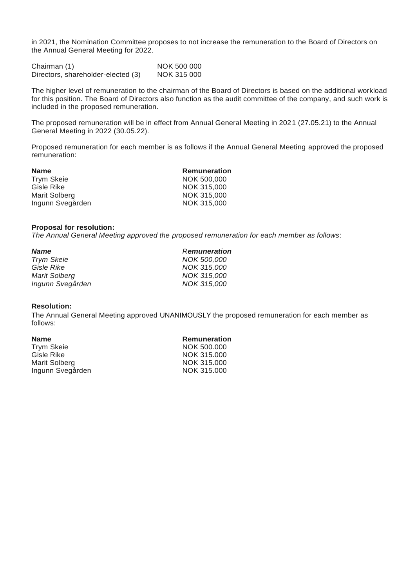in 2021, the Nomination Committee proposes to not increase the remuneration to the Board of Directors on the Annual General Meeting for 2022.

Chairman (1) NOK 500 000 Directors, shareholder-elected (3) NOK 315 000

The higher level of remuneration to the chairman of the Board of Directors is based on the additional workload for this position. The Board of Directors also function as the audit committee of the company, and such work is included in the proposed remuneration.

The proposed remuneration will be in effect from Annual General Meeting in 2021 (27.05.21) to the Annual General Meeting in 2022 (30.05.22).

Proposed remuneration for each member is as follows if the Annual General Meeting approved the proposed remuneration:

| <b>Name</b>       | <b>Remuneration</b> |
|-------------------|---------------------|
| <b>Trym Skeie</b> | NOK 500,000         |
| Gisle Rike        | NOK 315,000         |
| Marit Solberg     | NOK 315,000         |
| Ingunn Svegården  | NOK 315,000         |
|                   |                     |

#### **Proposal for resolution:**

*The Annual General Meeting approved the proposed remuneration for each member as follows*:

| <b>Name</b>          | <b>Remuneration</b> |
|----------------------|---------------------|
| <b>Trym Skeie</b>    | NOK 500,000         |
| Gisle Rike           | NOK 315,000         |
| <b>Marit Solberg</b> | NOK 315,000         |
| Ingunn Svegården     | NOK 315,000         |

#### **Resolution:**

The Annual General Meeting approved UNANIMOUSLY the proposed remuneration for each member as follows:

| <b>Remuneration</b> |
|---------------------|
| NOK 500,000         |
| NOK 315,000         |
| NOK 315,000         |
| NOK 315,000         |
|                     |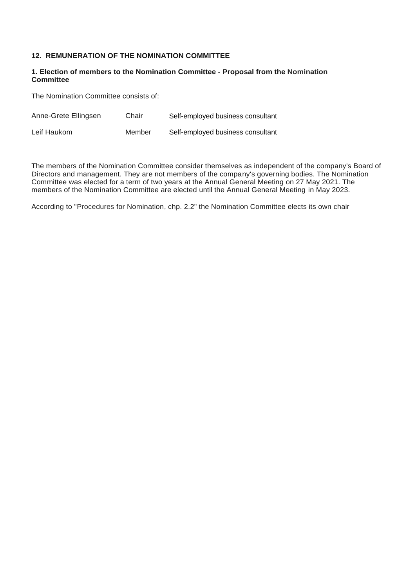# **12. REMUNERATION OF THE NOMINATION COMMITTEE**

#### **1. Election of members to the Nomination Committee - Proposal from the Nomination Committee**

The Nomination Committee consists of:

| Anne-Grete Ellingsen | Chair  | Self-employed business consultant |
|----------------------|--------|-----------------------------------|
| Leif Haukom          | Member | Self-employed business consultant |

The members of the Nomination Committee consider themselves as independent of the company's Board of Directors and management. They are not members of the company's governing bodies. The Nomination Committee was elected for a term of two years at the Annual General Meeting on 27 May 2021. The members of the Nomination Committee are elected until the Annual General Meeting in May 2023.

According to "Procedures for Nomination, chp. 2.2" the Nomination Committee elects its own chair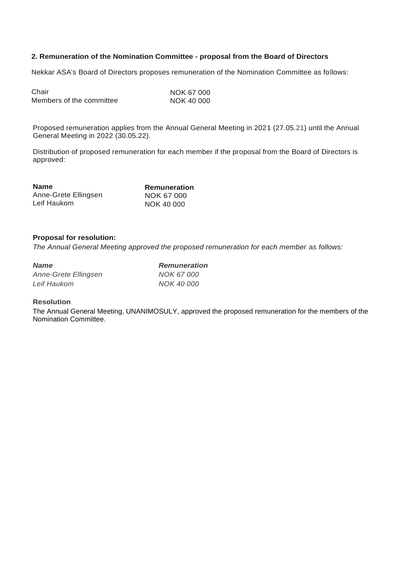# **2. Remuneration of the Nomination Committee - proposal from the Board of Directors**

Nekkar ASA's Board of Directors proposes remuneration of the Nomination Committee as follows:

| Chair                    | NOK 67 000 |
|--------------------------|------------|
| Members of the committee | NOK 40 000 |

Proposed remuneration applies from the Annual General Meeting in 2021 (27.05.21) until the Annual General Meeting in 2022 (30.05.22).

Distribution of proposed remuneration for each member if the proposal from the Board of Directors is approved:

| <b>Name</b>          | Remuneration |
|----------------------|--------------|
| Anne-Grete Ellingsen | NOK 67 000   |
| Leif Haukom          | NOK 40 000   |

# **Proposal for resolution:**

*The Annual General Meeting approved the proposed remuneration for each member as follows:* 

| <b>Name</b>          | <b>Remuneration</b> |
|----------------------|---------------------|
| Anne-Grete Ellingsen | NOK 67 000          |
| Leif Haukom          | NOK 40 000          |

#### **Resolution**

The Annual General Meeting, UNANIMOSULY, approved the proposed remuneration for the members of the Nomination Committee.